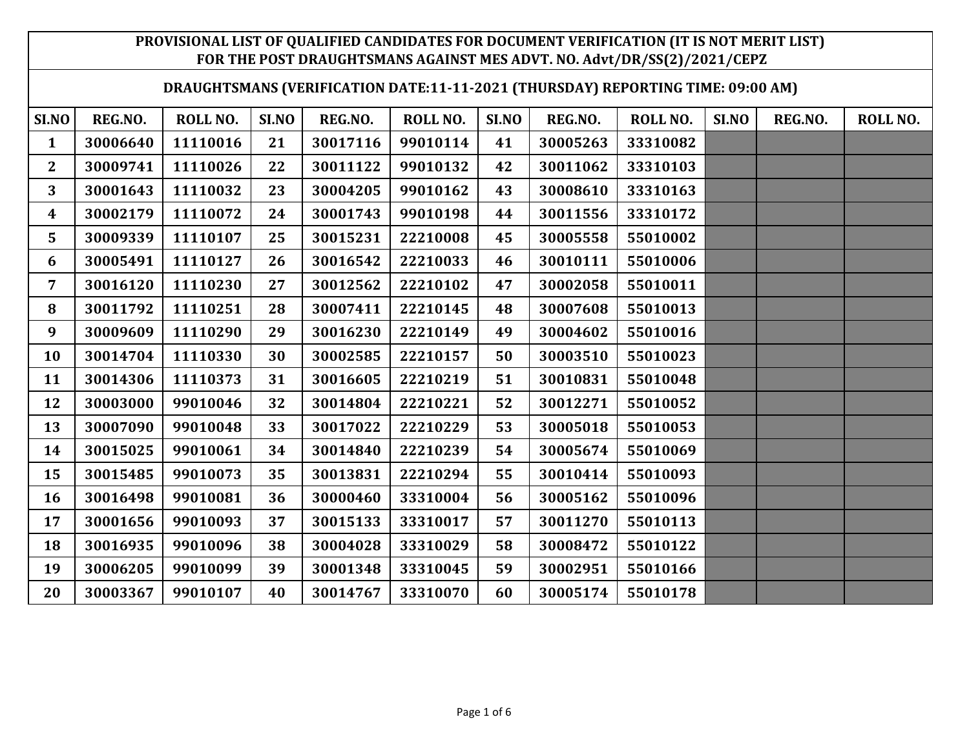#### **DRAUGHTSMANS (VERIFICATION DATE:11-11-2021 (THURSDAY) REPORTING TIME: 09:00 AM)**

| SI.NO            | REG.NO.  | ROLL NO. | SI.NO | REG.NO.  | ROLL NO. | SI.NO | REG.NO.  | ROLL NO. | SI.NO | REG.NO. | ROLL NO. |
|------------------|----------|----------|-------|----------|----------|-------|----------|----------|-------|---------|----------|
| $\mathbf{1}$     | 30006640 | 11110016 | 21    | 30017116 | 99010114 | 41    | 30005263 | 33310082 |       |         |          |
| $\mathbf{2}$     | 30009741 | 11110026 | 22    | 30011122 | 99010132 | 42    | 30011062 | 33310103 |       |         |          |
| 3                | 30001643 | 11110032 | 23    | 30004205 | 99010162 | 43    | 30008610 | 33310163 |       |         |          |
| $\boldsymbol{4}$ | 30002179 | 11110072 | 24    | 30001743 | 99010198 | 44    | 30011556 | 33310172 |       |         |          |
| 5                | 30009339 | 11110107 | 25    | 30015231 | 22210008 | 45    | 30005558 | 55010002 |       |         |          |
| 6                | 30005491 | 11110127 | 26    | 30016542 | 22210033 | 46    | 30010111 | 55010006 |       |         |          |
| 7                | 30016120 | 11110230 | 27    | 30012562 | 22210102 | 47    | 30002058 | 55010011 |       |         |          |
| 8                | 30011792 | 11110251 | 28    | 30007411 | 22210145 | 48    | 30007608 | 55010013 |       |         |          |
| 9                | 30009609 | 11110290 | 29    | 30016230 | 22210149 | 49    | 30004602 | 55010016 |       |         |          |
| <b>10</b>        | 30014704 | 11110330 | 30    | 30002585 | 22210157 | 50    | 30003510 | 55010023 |       |         |          |
| 11               | 30014306 | 11110373 | 31    | 30016605 | 22210219 | 51    | 30010831 | 55010048 |       |         |          |
| 12               | 30003000 | 99010046 | 32    | 30014804 | 22210221 | 52    | 30012271 | 55010052 |       |         |          |
| 13               | 30007090 | 99010048 | 33    | 30017022 | 22210229 | 53    | 30005018 | 55010053 |       |         |          |
| 14               | 30015025 | 99010061 | 34    | 30014840 | 22210239 | 54    | 30005674 | 55010069 |       |         |          |
| 15               | 30015485 | 99010073 | 35    | 30013831 | 22210294 | 55    | 30010414 | 55010093 |       |         |          |
| 16               | 30016498 | 99010081 | 36    | 30000460 | 33310004 | 56    | 30005162 | 55010096 |       |         |          |
| 17               | 30001656 | 99010093 | 37    | 30015133 | 33310017 | 57    | 30011270 | 55010113 |       |         |          |
| 18               | 30016935 | 99010096 | 38    | 30004028 | 33310029 | 58    | 30008472 | 55010122 |       |         |          |
| 19               | 30006205 | 99010099 | 39    | 30001348 | 33310045 | 59    | 30002951 | 55010166 |       |         |          |
| 20               | 30003367 | 99010107 | 40    | 30014767 | 33310070 | 60    | 30005174 | 55010178 |       |         |          |
|                  |          |          |       |          |          |       |          |          |       |         |          |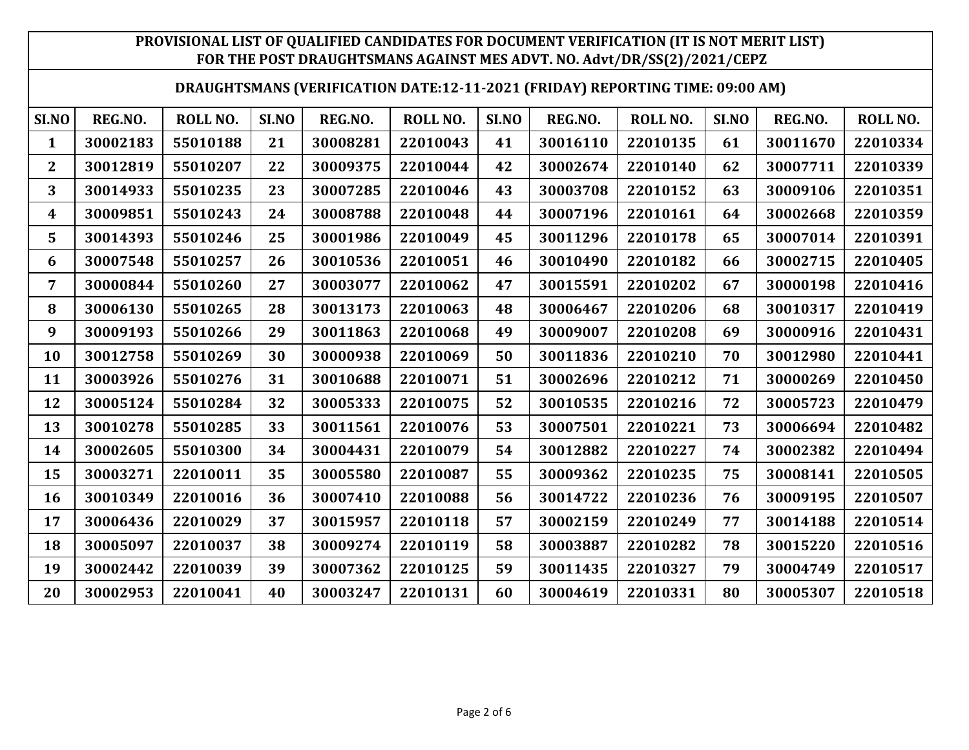#### **DRAUGHTSMANS (VERIFICATION DATE:12-11-2021 (FRIDAY) REPORTING TIME: 09:00 AM)**

| SI.NO        | REG.NO.  | ROLL NO. | SI.NO | REG.NO.  | ROLL NO. | SI.NO | REG.NO.  | <b>ROLL NO.</b> | SI.NO | REG.NO.  | ROLL NO. |
|--------------|----------|----------|-------|----------|----------|-------|----------|-----------------|-------|----------|----------|
| $\mathbf{1}$ | 30002183 | 55010188 | 21    | 30008281 | 22010043 | 41    | 30016110 | 22010135        | 61    | 30011670 | 22010334 |
| $\mathbf{2}$ | 30012819 | 55010207 | 22    | 30009375 | 22010044 | 42    | 30002674 | 22010140        | 62    | 30007711 | 22010339 |
| 3            | 30014933 | 55010235 | 23    | 30007285 | 22010046 | 43    | 30003708 | 22010152        | 63    | 30009106 | 22010351 |
| 4            | 30009851 | 55010243 | 24    | 30008788 | 22010048 | 44    | 30007196 | 22010161        | 64    | 30002668 | 22010359 |
| 5            | 30014393 | 55010246 | 25    | 30001986 | 22010049 | 45    | 30011296 | 22010178        | 65    | 30007014 | 22010391 |
| 6            | 30007548 | 55010257 | 26    | 30010536 | 22010051 | 46    | 30010490 | 22010182        | 66    | 30002715 | 22010405 |
| 7            | 30000844 | 55010260 | 27    | 30003077 | 22010062 | 47    | 30015591 | 22010202        | 67    | 30000198 | 22010416 |
| 8            | 30006130 | 55010265 | 28    | 30013173 | 22010063 | 48    | 30006467 | 22010206        | 68    | 30010317 | 22010419 |
| 9            | 30009193 | 55010266 | 29    | 30011863 | 22010068 | 49    | 30009007 | 22010208        | 69    | 30000916 | 22010431 |
| 10           | 30012758 | 55010269 | 30    | 30000938 | 22010069 | 50    | 30011836 | 22010210        | 70    | 30012980 | 22010441 |
| 11           | 30003926 | 55010276 | 31    | 30010688 | 22010071 | 51    | 30002696 | 22010212        | 71    | 30000269 | 22010450 |
| 12           | 30005124 | 55010284 | 32    | 30005333 | 22010075 | 52    | 30010535 | 22010216        | 72    | 30005723 | 22010479 |
| 13           | 30010278 | 55010285 | 33    | 30011561 | 22010076 | 53    | 30007501 | 22010221        | 73    | 30006694 | 22010482 |
| 14           | 30002605 | 55010300 | 34    | 30004431 | 22010079 | 54    | 30012882 | 22010227        | 74    | 30002382 | 22010494 |
| 15           | 30003271 | 22010011 | 35    | 30005580 | 22010087 | 55    | 30009362 | 22010235        | 75    | 30008141 | 22010505 |
| 16           | 30010349 | 22010016 | 36    | 30007410 | 22010088 | 56    | 30014722 | 22010236        | 76    | 30009195 | 22010507 |
| 17           | 30006436 | 22010029 | 37    | 30015957 | 22010118 | 57    | 30002159 | 22010249        | 77    | 30014188 | 22010514 |
| 18           | 30005097 | 22010037 | 38    | 30009274 | 22010119 | 58    | 30003887 | 22010282        | 78    | 30015220 | 22010516 |
| 19           | 30002442 | 22010039 | 39    | 30007362 | 22010125 | 59    | 30011435 | 22010327        | 79    | 30004749 | 22010517 |
| 20           | 30002953 | 22010041 | 40    | 30003247 | 22010131 | 60    | 30004619 | 22010331        | 80    | 30005307 | 22010518 |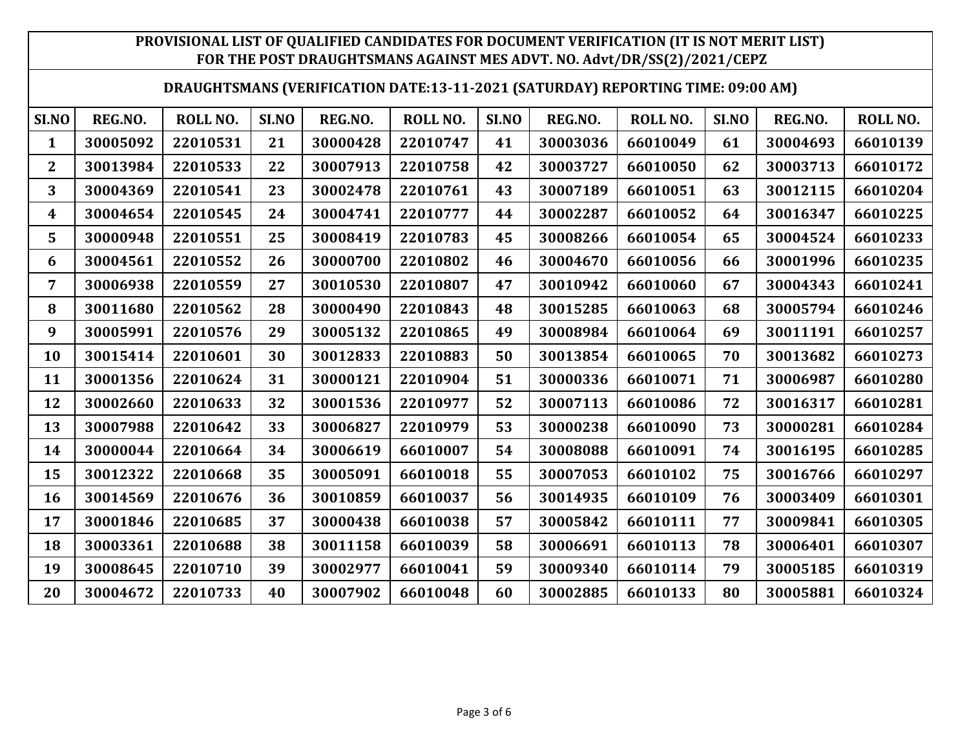#### **DRAUGHTSMANS (VERIFICATION DATE:13-11-2021 (SATURDAY) REPORTING TIME: 09:00 AM)**

| SI.NO        | REG.NO.  | ROLL NO. | SI.NO | REG.NO.  | ROLL NO. | SI.NO | REG.NO.  | ROLL NO. | SI.NO | REG.NO.  | ROLL NO. |
|--------------|----------|----------|-------|----------|----------|-------|----------|----------|-------|----------|----------|
| $\mathbf{1}$ | 30005092 | 22010531 | 21    | 30000428 | 22010747 | 41    | 30003036 | 66010049 | 61    | 30004693 | 66010139 |
| 2            | 30013984 | 22010533 | 22    | 30007913 | 22010758 | 42    | 30003727 | 66010050 | 62    | 30003713 | 66010172 |
| 3            | 30004369 | 22010541 | 23    | 30002478 | 22010761 | 43    | 30007189 | 66010051 | 63    | 30012115 | 66010204 |
| 4            | 30004654 | 22010545 | 24    | 30004741 | 22010777 | 44    | 30002287 | 66010052 | 64    | 30016347 | 66010225 |
| 5            | 30000948 | 22010551 | 25    | 30008419 | 22010783 | 45    | 30008266 | 66010054 | 65    | 30004524 | 66010233 |
| 6            | 30004561 | 22010552 | 26    | 30000700 | 22010802 | 46    | 30004670 | 66010056 | 66    | 30001996 | 66010235 |
| 7            | 30006938 | 22010559 | 27    | 30010530 | 22010807 | 47    | 30010942 | 66010060 | 67    | 30004343 | 66010241 |
| 8            | 30011680 | 22010562 | 28    | 30000490 | 22010843 | 48    | 30015285 | 66010063 | 68    | 30005794 | 66010246 |
| 9            | 30005991 | 22010576 | 29    | 30005132 | 22010865 | 49    | 30008984 | 66010064 | 69    | 30011191 | 66010257 |
| 10           | 30015414 | 22010601 | 30    | 30012833 | 22010883 | 50    | 30013854 | 66010065 | 70    | 30013682 | 66010273 |
| 11           | 30001356 | 22010624 | 31    | 30000121 | 22010904 | 51    | 30000336 | 66010071 | 71    | 30006987 | 66010280 |
| 12           | 30002660 | 22010633 | 32    | 30001536 | 22010977 | 52    | 30007113 | 66010086 | 72    | 30016317 | 66010281 |
| 13           | 30007988 | 22010642 | 33    | 30006827 | 22010979 | 53    | 30000238 | 66010090 | 73    | 30000281 | 66010284 |
| 14           | 30000044 | 22010664 | 34    | 30006619 | 66010007 | 54    | 30008088 | 66010091 | 74    | 30016195 | 66010285 |
| 15           | 30012322 | 22010668 | 35    | 30005091 | 66010018 | 55    | 30007053 | 66010102 | 75    | 30016766 | 66010297 |
| 16           | 30014569 | 22010676 | 36    | 30010859 | 66010037 | 56    | 30014935 | 66010109 | 76    | 30003409 | 66010301 |
| 17           | 30001846 | 22010685 | 37    | 30000438 | 66010038 | 57    | 30005842 | 66010111 | 77    | 30009841 | 66010305 |
| 18           | 30003361 | 22010688 | 38    | 30011158 | 66010039 | 58    | 30006691 | 66010113 | 78    | 30006401 | 66010307 |
| 19           | 30008645 | 22010710 | 39    | 30002977 | 66010041 | 59    | 30009340 | 66010114 | 79    | 30005185 | 66010319 |
| 20           | 30004672 | 22010733 | 40    | 30007902 | 66010048 | 60    | 30002885 | 66010133 | 80    | 30005881 | 66010324 |
|              |          |          |       |          |          |       |          |          |       |          |          |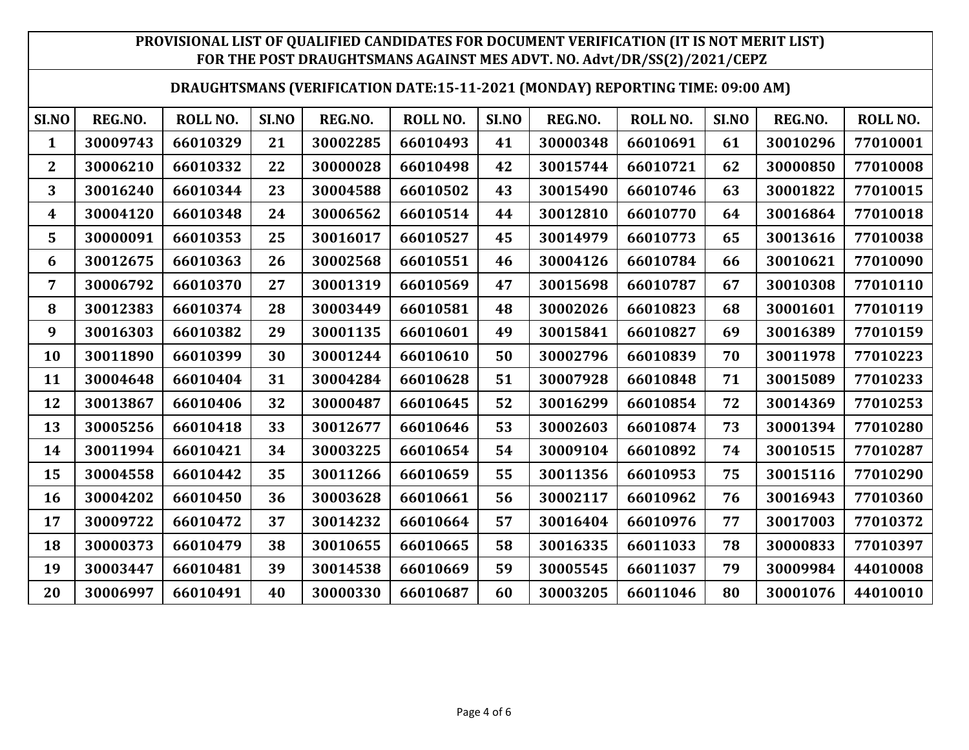#### **DRAUGHTSMANS (VERIFICATION DATE:15-11-2021 (MONDAY) REPORTING TIME: 09:00 AM)**

| SI.NO        | REG.NO.  | ROLL NO. | SI.NO | REG.NO.  | ROLL NO. | SI.NO | REG.NO.  | <b>ROLL NO.</b> | SI.NO | REG.NO.  | ROLL NO. |
|--------------|----------|----------|-------|----------|----------|-------|----------|-----------------|-------|----------|----------|
| 1            | 30009743 | 66010329 | 21    | 30002285 | 66010493 | 41    | 30000348 | 66010691        | 61    | 30010296 | 77010001 |
| $\mathbf{2}$ | 30006210 | 66010332 | 22    | 30000028 | 66010498 | 42    | 30015744 | 66010721        | 62    | 30000850 | 77010008 |
| 3            | 30016240 | 66010344 | 23    | 30004588 | 66010502 | 43    | 30015490 | 66010746        | 63    | 30001822 | 77010015 |
| 4            | 30004120 | 66010348 | 24    | 30006562 | 66010514 | 44    | 30012810 | 66010770        | 64    | 30016864 | 77010018 |
| 5            | 30000091 | 66010353 | 25    | 30016017 | 66010527 | 45    | 30014979 | 66010773        | 65    | 30013616 | 77010038 |
| 6            | 30012675 | 66010363 | 26    | 30002568 | 66010551 | 46    | 30004126 | 66010784        | 66    | 30010621 | 77010090 |
| 7            | 30006792 | 66010370 | 27    | 30001319 | 66010569 | 47    | 30015698 | 66010787        | 67    | 30010308 | 77010110 |
| 8            | 30012383 | 66010374 | 28    | 30003449 | 66010581 | 48    | 30002026 | 66010823        | 68    | 30001601 | 77010119 |
| 9            | 30016303 | 66010382 | 29    | 30001135 | 66010601 | 49    | 30015841 | 66010827        | 69    | 30016389 | 77010159 |
| 10           | 30011890 | 66010399 | 30    | 30001244 | 66010610 | 50    | 30002796 | 66010839        | 70    | 30011978 | 77010223 |
| 11           | 30004648 | 66010404 | 31    | 30004284 | 66010628 | 51    | 30007928 | 66010848        | 71    | 30015089 | 77010233 |
| 12           | 30013867 | 66010406 | 32    | 30000487 | 66010645 | 52    | 30016299 | 66010854        | 72    | 30014369 | 77010253 |
| 13           | 30005256 | 66010418 | 33    | 30012677 | 66010646 | 53    | 30002603 | 66010874        | 73    | 30001394 | 77010280 |
| 14           | 30011994 | 66010421 | 34    | 30003225 | 66010654 | 54    | 30009104 | 66010892        | 74    | 30010515 | 77010287 |
| 15           | 30004558 | 66010442 | 35    | 30011266 | 66010659 | 55    | 30011356 | 66010953        | 75    | 30015116 | 77010290 |
| 16           | 30004202 | 66010450 | 36    | 30003628 | 66010661 | 56    | 30002117 | 66010962        | 76    | 30016943 | 77010360 |
| 17           | 30009722 | 66010472 | 37    | 30014232 | 66010664 | 57    | 30016404 | 66010976        | 77    | 30017003 | 77010372 |
| 18           | 30000373 | 66010479 | 38    | 30010655 | 66010665 | 58    | 30016335 | 66011033        | 78    | 30000833 | 77010397 |
| 19           | 30003447 | 66010481 | 39    | 30014538 | 66010669 | 59    | 30005545 | 66011037        | 79    | 30009984 | 44010008 |
| 20           | 30006997 | 66010491 | 40    | 30000330 | 66010687 | 60    | 30003205 | 66011046        | 80    | 30001076 | 44010010 |
|              |          |          |       |          |          |       |          |                 |       |          |          |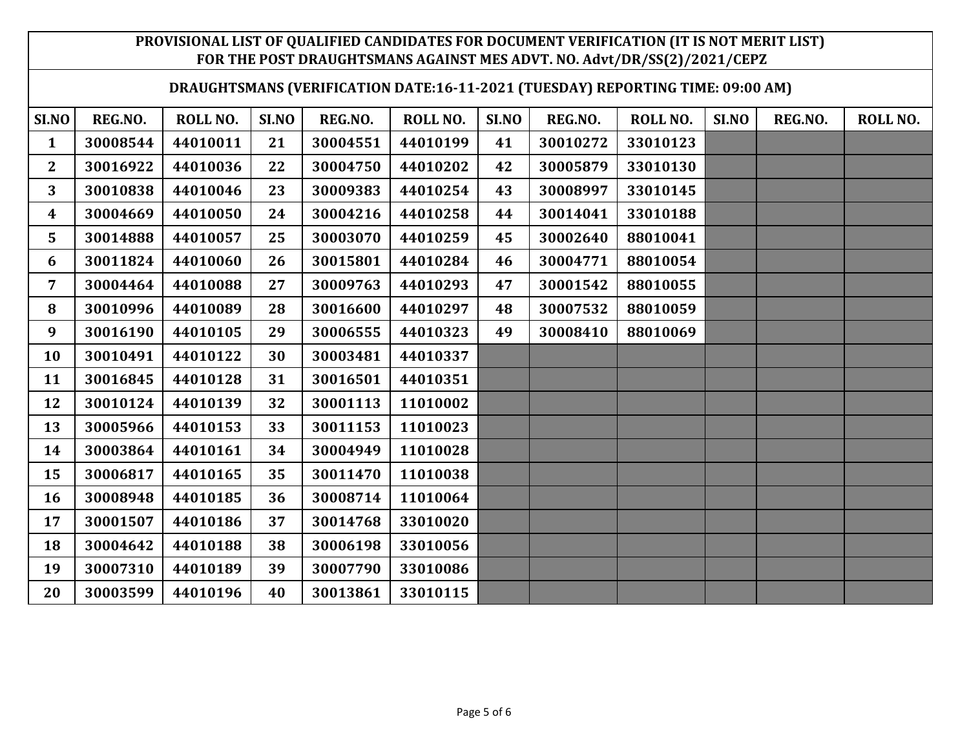#### **DRAUGHTSMANS (VERIFICATION DATE:16-11-2021 (TUESDAY) REPORTING TIME: 09:00 AM)**

| SI.NO            | REG.NO.  | ROLL NO. | SI.NO | REG.NO.  | ROLL NO. | SI.NO | REG.NO.  | ROLL NO. | SI.NO | REG.NO. | ROLL NO. |
|------------------|----------|----------|-------|----------|----------|-------|----------|----------|-------|---------|----------|
| $\mathbf{1}$     | 30008544 | 44010011 | 21    | 30004551 | 44010199 | 41    | 30010272 | 33010123 |       |         |          |
| $\mathbf{2}$     | 30016922 | 44010036 | 22    | 30004750 | 44010202 | 42    | 30005879 | 33010130 |       |         |          |
| 3                | 30010838 | 44010046 | 23    | 30009383 | 44010254 | 43    | 30008997 | 33010145 |       |         |          |
| $\boldsymbol{4}$ | 30004669 | 44010050 | 24    | 30004216 | 44010258 | 44    | 30014041 | 33010188 |       |         |          |
| 5                | 30014888 | 44010057 | 25    | 30003070 | 44010259 | 45    | 30002640 | 88010041 |       |         |          |
| 6                | 30011824 | 44010060 | 26    | 30015801 | 44010284 | 46    | 30004771 | 88010054 |       |         |          |
| 7                | 30004464 | 44010088 | 27    | 30009763 | 44010293 | 47    | 30001542 | 88010055 |       |         |          |
| 8                | 30010996 | 44010089 | 28    | 30016600 | 44010297 | 48    | 30007532 | 88010059 |       |         |          |
| 9                | 30016190 | 44010105 | 29    | 30006555 | 44010323 | 49    | 30008410 | 88010069 |       |         |          |
| 10               | 30010491 | 44010122 | 30    | 30003481 | 44010337 |       |          |          |       |         |          |
| 11               | 30016845 | 44010128 | 31    | 30016501 | 44010351 |       |          |          |       |         |          |
| 12               | 30010124 | 44010139 | 32    | 30001113 | 11010002 |       |          |          |       |         |          |
| 13               | 30005966 | 44010153 | 33    | 30011153 | 11010023 |       |          |          |       |         |          |
| 14               | 30003864 | 44010161 | 34    | 30004949 | 11010028 |       |          |          |       |         |          |
| 15               | 30006817 | 44010165 | 35    | 30011470 | 11010038 |       |          |          |       |         |          |
| 16               | 30008948 | 44010185 | 36    | 30008714 | 11010064 |       |          |          |       |         |          |
| 17               | 30001507 | 44010186 | 37    | 30014768 | 33010020 |       |          |          |       |         |          |
| 18               | 30004642 | 44010188 | 38    | 30006198 | 33010056 |       |          |          |       |         |          |
| 19               | 30007310 | 44010189 | 39    | 30007790 | 33010086 |       |          |          |       |         |          |
| 20               | 30003599 | 44010196 | 40    | 30013861 | 33010115 |       |          |          |       |         |          |
|                  |          |          |       |          |          |       |          |          |       |         |          |